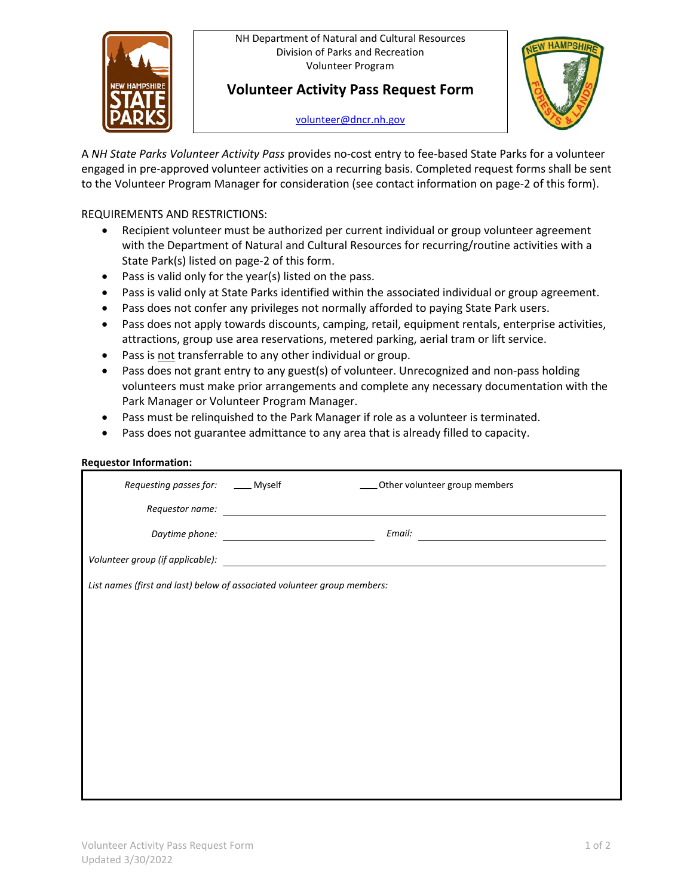NH Department of Natural and Cultural Resources Division of Parks and Recreation Volunteer Program



## **Volunteer Activity Pass Request Form**

[volunteer@dncr.nh.gov](mailto:volunteer@dncr.nh.gov)



A *NH State Parks Volunteer Activity Pass* provides no-cost entry to fee-based State Parks for a volunteer engaged in pre-approved volunteer activities on a recurring basis. Completed request forms shall be sent to the Volunteer Program Manager for consideration (see contact information on page-2 of this form).

## REQUIREMENTS AND RESTRICTIONS:

- Recipient volunteer must be authorized per current individual or group volunteer agreement with the Department of Natural and Cultural Resources for recurring/routine activities with a State Park(s) listed on page-2 of this form.
- Pass is valid only for the year(s) listed on the pass.
- Pass is valid only at State Parks identified within the associated individual or group agreement.
- Pass does not confer any privileges not normally afforded to paying State Park users.
- Pass does not apply towards discounts, camping, retail, equipment rentals, enterprise activities, attractions, group use area reservations, metered parking, aerial tram or lift service.
- Pass is not transferrable to any other individual or group.
- Pass does not grant entry to any guest(s) of volunteer. Unrecognized and non-pass holding volunteers must make prior arrangements and complete any necessary documentation with the Park Manager or Volunteer Program Manager.
- Pass must be relinquished to the Park Manager if role as a volunteer is terminated.
- Pass does not guarantee admittance to any area that is already filled to capacity.

| Requesting passes for: _____ Myself | ____ Other volunteer group members                                       |
|-------------------------------------|--------------------------------------------------------------------------|
| Requestor name:                     |                                                                          |
|                                     | Email:                                                                   |
|                                     |                                                                          |
|                                     | List names (first and last) below of associated volunteer group members: |
|                                     |                                                                          |
|                                     |                                                                          |
|                                     |                                                                          |
|                                     |                                                                          |
|                                     |                                                                          |
|                                     |                                                                          |
|                                     |                                                                          |
|                                     |                                                                          |